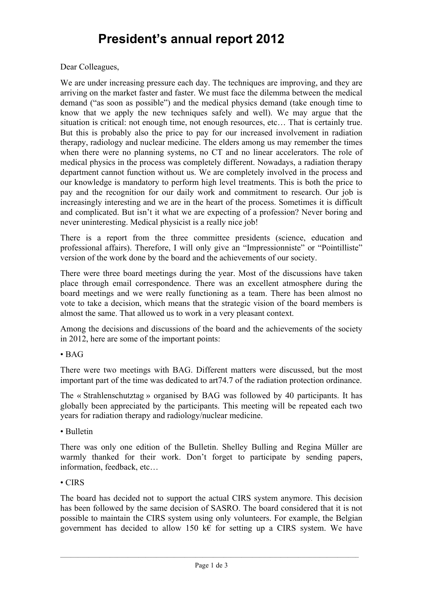## **President's annual report 2012**

Dear Colleagues,

We are under increasing pressure each day. The techniques are improving, and they are arriving on the market faster and faster. We must face the dilemma between the medical demand ("as soon as possible") and the medical physics demand (take enough time to know that we apply the new techniques safely and well). We may argue that the situation is critical: not enough time, not enough resources, etc… That is certainly true. But this is probably also the price to pay for our increased involvement in radiation therapy, radiology and nuclear medicine. The elders among us may remember the times when there were no planning systems, no CT and no linear accelerators. The role of medical physics in the process was completely different. Nowadays, a radiation therapy department cannot function without us. We are completely involved in the process and our knowledge is mandatory to perform high level treatments. This is both the price to pay and the recognition for our daily work and commitment to research. Our job is increasingly interesting and we are in the heart of the process. Sometimes it is difficult and complicated. But isn't it what we are expecting of a profession? Never boring and never uninteresting. Medical physicist is a really nice job!

There is a report from the three committee presidents (science, education and professional affairs). Therefore, I will only give an "Impressionniste" or "Pointilliste" version of the work done by the board and the achievements of our society.

There were three board meetings during the year. Most of the discussions have taken place through email correspondence. There was an excellent atmosphere during the board meetings and we were really functioning as a team. There has been almost no vote to take a decision, which means that the strategic vision of the board members is almost the same. That allowed us to work in a very pleasant context.

Among the decisions and discussions of the board and the achievements of the society in 2012, here are some of the important points:

• BAG

There were two meetings with BAG. Different matters were discussed, but the most important part of the time was dedicated to art74.7 of the radiation protection ordinance.

The « Strahlenschutztag » organised by BAG was followed by 40 participants. It has globally been appreciated by the participants. This meeting will be repeated each two years for radiation therapy and radiology/nuclear medicine.

• Bulletin

There was only one edition of the Bulletin. Shelley Bulling and Regina Müller are warmly thanked for their work. Don't forget to participate by sending papers, information, feedback, etc…

## • CIRS

The board has decided not to support the actual CIRS system anymore. This decision has been followed by the same decision of SASRO. The board considered that it is not possible to maintain the CIRS system using only volunteers. For example, the Belgian government has decided to allow 150 k€ for setting up a CIRS system. We have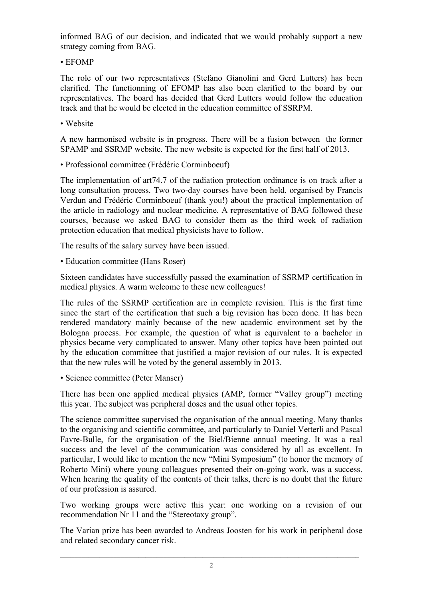informed BAG of our decision, and indicated that we would probably support a new strategy coming from BAG.

• EFOMP

The role of our two representatives (Stefano Gianolini and Gerd Lutters) has been clarified. The functionning of EFOMP has also been clarified to the board by our representatives. The board has decided that Gerd Lutters would follow the education track and that he would be elected in the education committee of SSRPM.

• Website

A new harmonised website is in progress. There will be a fusion between the former SPAMP and SSRMP website. The new website is expected for the first half of 2013.

• Professional committee (Frédéric Corminboeuf)

The implementation of art74.7 of the radiation protection ordinance is on track after a long consultation process. Two two-day courses have been held, organised by Francis Verdun and Frédéric Corminboeuf (thank you!) about the practical implementation of the article in radiology and nuclear medicine. A representative of BAG followed these courses, because we asked BAG to consider them as the third week of radiation protection education that medical physicists have to follow.

The results of the salary survey have been issued.

• Education committee (Hans Roser)

Sixteen candidates have successfully passed the examination of SSRMP certification in medical physics. A warm welcome to these new colleagues!

The rules of the SSRMP certification are in complete revision. This is the first time since the start of the certification that such a big revision has been done. It has been rendered mandatory mainly because of the new academic environment set by the Bologna process. For example, the question of what is equivalent to a bachelor in physics became very complicated to answer. Many other topics have been pointed out by the education committee that justified a major revision of our rules. It is expected that the new rules will be voted by the general assembly in 2013.

• Science committee (Peter Manser)

There has been one applied medical physics (AMP, former "Valley group") meeting this year. The subject was peripheral doses and the usual other topics.

The science committee supervised the organisation of the annual meeting. Many thanks to the organising and scientific committee, and particularly to Daniel Vetterli and Pascal Favre-Bulle, for the organisation of the Biel/Bienne annual meeting. It was a real success and the level of the communication was considered by all as excellent. In particular, I would like to mention the new "Mini Symposium" (to honor the memory of Roberto Mini) where young colleagues presented their on-going work, was a success. When hearing the quality of the contents of their talks, there is no doubt that the future of our profession is assured.

Two working groups were active this year: one working on a revision of our recommendation Nr 11 and the "Stereotaxy group".

The Varian prize has been awarded to Andreas Joosten for his work in peripheral dose and related secondary cancer risk.